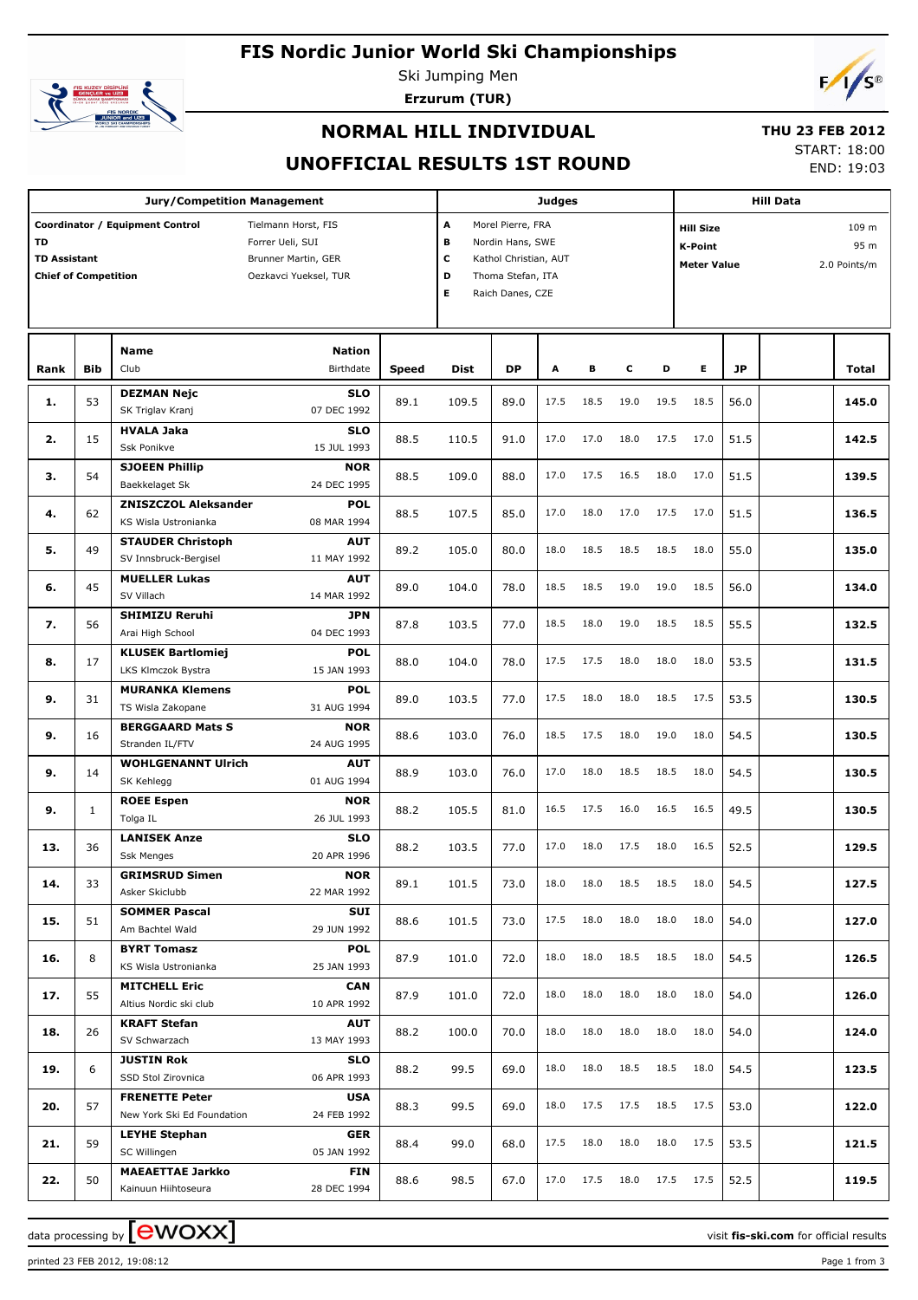# **FIS Nordic Junior World Ski Championships**



Ski Jumping Men

**Erzurum (TUR)**



## **NORMAL HILL INDIVIDUAL**

# **THU 23 FEB 2012**

### **UNOFFICIAL RESULTS 1ST ROUND**

START: 18:00

END: 19:03

|                                                                                                                                                                                        |              | <b>Jury/Competition Management</b>                 |                           |       |                                                                                                                                  |           | <b>Judges</b> |      |      |      |                                                                                           |           | <b>Hill Data</b> |       |
|----------------------------------------------------------------------------------------------------------------------------------------------------------------------------------------|--------------|----------------------------------------------------|---------------------------|-------|----------------------------------------------------------------------------------------------------------------------------------|-----------|---------------|------|------|------|-------------------------------------------------------------------------------------------|-----------|------------------|-------|
| Coordinator / Equipment Control<br>Tielmann Horst, FIS<br>TD<br>Forrer Ueli, SUI<br><b>TD Assistant</b><br>Brunner Martin, GER<br><b>Chief of Competition</b><br>Oezkavci Yueksel, TUR |              |                                                    |                           |       | A<br>Morel Pierre, FRA<br>в<br>Nordin Hans, SWE<br>с<br>Kathol Christian, AUT<br>Thoma Stefan, ITA<br>D<br>Е<br>Raich Danes, CZE |           |               |      |      |      | 109 m<br><b>Hill Size</b><br>95 m<br><b>K-Point</b><br><b>Meter Value</b><br>2.0 Points/m |           |                  |       |
|                                                                                                                                                                                        |              | <b>Name</b>                                        | <b>Nation</b>             |       |                                                                                                                                  |           |               |      |      |      |                                                                                           |           |                  |       |
| Rank                                                                                                                                                                                   | <b>Bib</b>   | Club                                               | <b>Birthdate</b>          | Speed | Dist                                                                                                                             | <b>DP</b> | A             | в    | c    | D    | E.                                                                                        | <b>JP</b> |                  | Total |
| 1.                                                                                                                                                                                     | 53           | <b>DEZMAN Nejc</b><br>SK Triglav Kranj             | <b>SLO</b><br>07 DEC 1992 | 89.1  | 109.5                                                                                                                            | 89.0      | 17.5          | 18.5 | 19.0 | 19.5 | 18.5                                                                                      | 56.0      |                  | 145.0 |
| 2.                                                                                                                                                                                     | 15           | <b>HVALA Jaka</b><br>Ssk Ponikve                   | <b>SLO</b><br>15 JUL 1993 | 88.5  | 110.5                                                                                                                            | 91.0      | 17.0          | 17.0 | 18.0 | 17.5 | 17.0                                                                                      | 51.5      |                  | 142.5 |
|                                                                                                                                                                                        |              | <b>SJOEEN Phillip</b>                              | <b>NOR</b>                |       |                                                                                                                                  |           |               |      |      |      |                                                                                           |           |                  |       |
| з.                                                                                                                                                                                     | 54           | Baekkelaget Sk                                     | 24 DEC 1995               | 88.5  | 109.0                                                                                                                            | 88.0      | 17.0          | 17.5 | 16.5 | 18.0 | 17.0                                                                                      | 51.5      |                  | 139.5 |
| 4.                                                                                                                                                                                     | 62           | <b>ZNISZCZOL Aleksander</b>                        | <b>POL</b>                | 88.5  | 107.5                                                                                                                            | 85.0      | 17.0          | 18.0 | 17.0 | 17.5 | 17.0                                                                                      | 51.5      |                  | 136.5 |
|                                                                                                                                                                                        |              | KS Wisla Ustronianka                               | 08 MAR 1994               |       |                                                                                                                                  |           |               |      |      |      |                                                                                           |           |                  |       |
| 5.                                                                                                                                                                                     | 49           | <b>STAUDER Christoph</b>                           | <b>AUT</b>                | 89.2  | 105.0                                                                                                                            | 80.0      | 18.0          | 18.5 | 18.5 | 18.5 | 18.0                                                                                      | 55.0      |                  | 135.0 |
|                                                                                                                                                                                        |              | SV Innsbruck-Bergisel                              | 11 MAY 1992               |       |                                                                                                                                  |           |               |      |      |      |                                                                                           |           |                  |       |
| 6.                                                                                                                                                                                     | 45           | <b>MUELLER Lukas</b><br>SV Villach                 | <b>AUT</b><br>14 MAR 1992 | 89.0  | 104.0                                                                                                                            | 78.0      | 18.5          | 18.5 | 19.0 | 19.0 | 18.5                                                                                      | 56.0      |                  | 134.0 |
| 7.                                                                                                                                                                                     | 56           | <b>SHIMIZU Reruhi</b>                              | <b>JPN</b>                | 87.8  | 103.5                                                                                                                            | 77.0      | 18.5          | 18.0 | 19.0 | 18.5 | 18.5                                                                                      | 55.5      |                  | 132.5 |
|                                                                                                                                                                                        |              | Arai High School                                   | 04 DEC 1993               |       |                                                                                                                                  |           |               |      |      |      |                                                                                           |           |                  |       |
| 8.                                                                                                                                                                                     | 17           | <b>KLUSEK Bartlomiej</b><br>LKS Klmczok Bystra     | <b>POL</b><br>15 JAN 1993 | 88.0  | 104.0                                                                                                                            | 78.0      | 17.5          | 17.5 | 18.0 | 18.0 | 18.0                                                                                      | 53.5      |                  | 131.5 |
| 9.                                                                                                                                                                                     | 31           | <b>MURANKA Klemens</b><br>TS Wisla Zakopane        | <b>POL</b><br>31 AUG 1994 | 89.0  | 103.5                                                                                                                            | 77.0      | 17.5          | 18.0 | 18.0 | 18.5 | 17.5                                                                                      | 53.5      |                  | 130.5 |
|                                                                                                                                                                                        |              | <b>BERGGAARD Mats S</b>                            | <b>NOR</b>                |       |                                                                                                                                  |           |               |      |      |      |                                                                                           |           |                  |       |
| 9.                                                                                                                                                                                     | 16           | Stranden IL/FTV                                    | 24 AUG 1995               | 88.6  | 103.0                                                                                                                            | 76.0      | 18.5          | 17.5 | 18.0 | 19.0 | 18.0                                                                                      | 54.5      |                  | 130.5 |
|                                                                                                                                                                                        |              | <b>WOHLGENANNT Ulrich</b>                          | <b>AUT</b>                |       |                                                                                                                                  |           |               |      |      |      |                                                                                           |           |                  |       |
| 9.                                                                                                                                                                                     | 14           | SK Kehlegg                                         | 01 AUG 1994               | 88.9  | 103.0                                                                                                                            | 76.0      | 17.0          | 18.0 | 18.5 | 18.5 | 18.0                                                                                      | 54.5      |                  | 130.5 |
|                                                                                                                                                                                        |              | <b>ROEE Espen</b>                                  | <b>NOR</b>                |       |                                                                                                                                  |           |               |      |      |      |                                                                                           |           |                  |       |
| 9.                                                                                                                                                                                     | $\mathbf{1}$ | Tolga IL                                           | 26 JUL 1993               | 88.2  | 105.5                                                                                                                            | 81.0      | 16.5          | 17.5 | 16.0 | 16.5 | 16.5                                                                                      | 49.5      |                  | 130.5 |
| 13.                                                                                                                                                                                    | 36           | <b>LANISEK Anze</b>                                | <b>SLO</b>                | 88.2  | 103.5                                                                                                                            | 77.0      | 17.0          | 18.0 | 17.5 | 18.0 | 16.5                                                                                      | 52.5      |                  | 129.5 |
|                                                                                                                                                                                        |              | <b>Ssk Menges</b>                                  | 20 APR 1996               |       |                                                                                                                                  |           |               |      |      |      |                                                                                           |           |                  |       |
| 14.                                                                                                                                                                                    | 33           | <b>GRIMSRUD Simen</b><br>Asker Skiclubb            | <b>NOR</b><br>22 MAR 1992 | 89.1  | 101.5                                                                                                                            | 73.0      | 18.0          | 18.0 | 18.5 |      | 18.5 18.0                                                                                 | 54.5      |                  | 127.5 |
|                                                                                                                                                                                        |              | <b>SOMMER Pascal</b>                               | SUI                       |       |                                                                                                                                  |           |               |      |      |      |                                                                                           |           |                  |       |
| 15.                                                                                                                                                                                    | 51           | Am Bachtel Wald                                    | 29 JUN 1992               | 88.6  | 101.5                                                                                                                            | 73.0      | 17.5          | 18.0 | 18.0 | 18.0 | 18.0                                                                                      | 54.0      |                  | 127.0 |
| 16.                                                                                                                                                                                    | 8            | <b>BYRT Tomasz</b><br>KS Wisla Ustronianka         | POL<br>25 JAN 1993        | 87.9  | 101.0                                                                                                                            | 72.0      | 18.0          | 18.0 | 18.5 | 18.5 | 18.0                                                                                      | 54.5      |                  | 126.5 |
| 17.                                                                                                                                                                                    | 55           | <b>MITCHELL Eric</b>                               | <b>CAN</b>                | 87.9  | 101.0                                                                                                                            | 72.0      | 18.0          | 18.0 | 18.0 | 18.0 | 18.0                                                                                      | 54.0      |                  | 126.0 |
|                                                                                                                                                                                        |              | Altius Nordic ski club                             | 10 APR 1992               |       |                                                                                                                                  |           |               |      |      |      |                                                                                           |           |                  |       |
| 18.                                                                                                                                                                                    | 26           | <b>KRAFT Stefan</b><br>SV Schwarzach               | <b>AUT</b><br>13 MAY 1993 | 88.2  | 100.0                                                                                                                            | 70.0      | 18.0          | 18.0 | 18.0 | 18.0 | 18.0                                                                                      | 54.0      |                  | 124.0 |
| 19.                                                                                                                                                                                    | 6            | <b>JUSTIN Rok</b><br>SSD Stol Zirovnica            | <b>SLO</b><br>06 APR 1993 | 88.2  | 99.5                                                                                                                             | 69.0      | 18.0          | 18.0 | 18.5 | 18.5 | 18.0                                                                                      | 54.5      |                  | 123.5 |
| 20.                                                                                                                                                                                    | 57           | <b>FRENETTE Peter</b>                              | <b>USA</b><br>24 FEB 1992 | 88.3  | 99.5                                                                                                                             | 69.0      | 18.0          | 17.5 | 17.5 | 18.5 | 17.5                                                                                      | 53.0      |                  | 122.0 |
|                                                                                                                                                                                        |              | New York Ski Ed Foundation<br><b>LEYHE Stephan</b> |                           |       |                                                                                                                                  |           |               |      |      |      |                                                                                           |           |                  |       |
| 21.                                                                                                                                                                                    | 59           | SC Willingen                                       | <b>GER</b><br>05 JAN 1992 | 88.4  | 99.0                                                                                                                             | 68.0      | 17.5          | 18.0 | 18.0 | 18.0 | 17.5                                                                                      | 53.5      |                  | 121.5 |
| 22.                                                                                                                                                                                    | 50           | <b>MAEAETTAE Jarkko</b><br>Kainuun Hiihtoseura     | <b>FIN</b><br>28 DEC 1994 | 88.6  | 98.5                                                                                                                             | 67.0      | 17.0          | 17.5 | 18.0 | 17.5 | 17.5                                                                                      | 52.5      |                  | 119.5 |
|                                                                                                                                                                                        |              |                                                    |                           |       |                                                                                                                                  |           |               |      |      |      |                                                                                           |           |                  |       |

printed 23 FEB 2012, 19:08:12 Page 1 from 3

data processing by **CWOXX**  $\blacksquare$  and  $\blacksquare$  and  $\blacksquare$  and  $\blacksquare$  and  $\blacksquare$  and  $\blacksquare$  and  $\blacksquare$  and  $\blacksquare$  and  $\blacksquare$  and  $\blacksquare$  and  $\blacksquare$  and  $\blacksquare$  and  $\blacksquare$  and  $\blacksquare$  and  $\blacksquare$  and  $\blacksquare$  and  $\blacksquare$  and  $\blacksquare$  a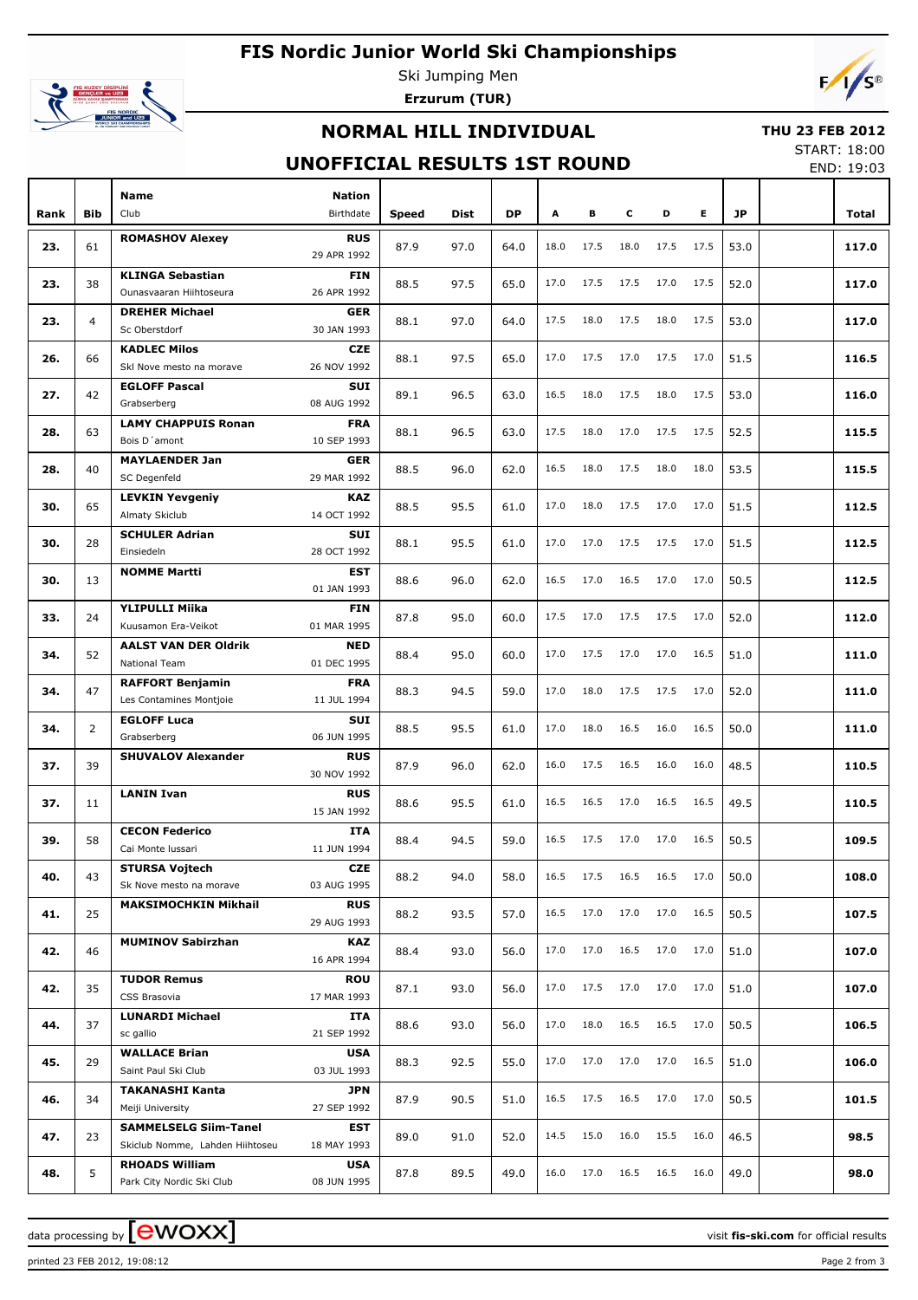# **FIS Nordic Junior World Ski Championships**



Ski Jumping Men **Erzurum (TUR)**



## **NORMAL HILL INDIVIDUAL**

#### **THU 23 FEB 2012**

### **UNOFFICIAL RESULTS 1ST ROUND**

START: 18:00 END: 19:03

| Rank | Bib            | <b>Name</b><br>Club                              | <b>Nation</b><br>Birthdate | Speed | <b>Dist</b> | <b>DP</b> | A    | В    | c         | D    | Е    | JP   | Total |
|------|----------------|--------------------------------------------------|----------------------------|-------|-------------|-----------|------|------|-----------|------|------|------|-------|
|      |                | <b>ROMASHOV Alexey</b>                           | <b>RUS</b>                 |       |             |           |      |      |           |      |      |      |       |
| 23.  | 61             |                                                  | 29 APR 1992                | 87.9  | 97.0        | 64.0      | 18.0 | 17.5 | 18.0      | 17.5 | 17.5 | 53.0 | 117.0 |
| 23.  | 38             | <b>KLINGA Sebastian</b>                          | <b>FIN</b>                 | 88.5  | 97.5        | 65.0      | 17.0 | 17.5 | 17.5      | 17.0 | 17.5 | 52.0 | 117.0 |
|      |                | Ounasvaaran Hiihtoseura                          | 26 APR 1992                |       |             |           |      |      |           |      |      |      |       |
| 23.  | $\overline{4}$ | <b>DREHER Michael</b><br>Sc Oberstdorf           | <b>GER</b><br>30 JAN 1993  | 88.1  | 97.0        | 64.0      | 17.5 | 18.0 | 17.5      | 18.0 | 17.5 | 53.0 | 117.0 |
|      |                | <b>KADLEC Milos</b>                              | <b>CZE</b>                 |       |             |           |      |      |           |      |      |      |       |
| 26.  | 66             | Skl Nove mesto na morave                         | 26 NOV 1992                | 88.1  | 97.5        | 65.0      | 17.0 | 17.5 | 17.0      | 17.5 | 17.0 | 51.5 | 116.5 |
| 27.  | 42             | <b>EGLOFF Pascal</b>                             | <b>SUI</b>                 | 89.1  | 96.5        | 63.0      | 16.5 | 18.0 | 17.5      | 18.0 | 17.5 | 53.0 | 116.0 |
|      |                | Grabserberg<br><b>LAMY CHAPPUIS Ronan</b>        | 08 AUG 1992<br><b>FRA</b>  |       |             |           |      |      |           |      |      |      |       |
| 28.  | 63             | Bois D'amont                                     | 10 SEP 1993                | 88.1  | 96.5        | 63.0      | 17.5 | 18.0 | 17.0      | 17.5 | 17.5 | 52.5 | 115.5 |
|      |                | <b>MAYLAENDER Jan</b>                            | <b>GER</b>                 |       |             |           |      |      |           |      |      |      |       |
| 28.  | 40             | SC Degenfeld                                     | 29 MAR 1992                | 88.5  | 96.0        | 62.0      | 16.5 | 18.0 | 17.5      | 18.0 | 18.0 | 53.5 | 115.5 |
| 30.  | 65             | <b>LEVKIN Yevgeniy</b>                           | <b>KAZ</b>                 | 88.5  | 95.5        | 61.0      | 17.0 | 18.0 | 17.5      | 17.0 | 17.0 | 51.5 | 112.5 |
|      |                | Almaty Skiclub                                   | 14 OCT 1992                |       |             |           |      |      |           |      |      |      |       |
| 30.  | 28             | <b>SCHULER Adrian</b><br>Einsiedeln              | <b>SUI</b><br>28 OCT 1992  | 88.1  | 95.5        | 61.0      | 17.0 | 17.0 | 17.5      | 17.5 | 17.0 | 51.5 | 112.5 |
|      |                | <b>NOMME Martti</b>                              | <b>EST</b>                 |       |             |           |      |      |           |      |      |      |       |
| 30.  | 13             |                                                  | 01 JAN 1993                | 88.6  | 96.0        | 62.0      | 16.5 | 17.0 | 16.5      | 17.0 | 17.0 | 50.5 | 112.5 |
| 33.  | 24             | <b>YLIPULLI Miika</b>                            | <b>FIN</b>                 | 87.8  | 95.0        | 60.0      | 17.5 | 17.0 | 17.5      | 17.5 | 17.0 | 52.0 | 112.0 |
|      |                | Kuusamon Era-Veikot                              | 01 MAR 1995                |       |             |           |      |      |           |      |      |      |       |
| 34.  | 52             | <b>AALST VAN DER Oldrik</b><br>National Team     | <b>NED</b><br>01 DEC 1995  | 88.4  | 95.0        | 60.0      | 17.0 | 17.5 | 17.0      | 17.0 | 16.5 | 51.0 | 111.0 |
|      |                | <b>RAFFORT Benjamin</b>                          | <b>FRA</b>                 |       |             |           |      |      |           |      |      |      |       |
| 34.  | 47             | Les Contamines Montjoie                          | 11 JUL 1994                | 88.3  | 94.5        | 59.0      | 17.0 | 18.0 | 17.5      | 17.5 | 17.0 | 52.0 | 111.0 |
| 34.  | $\overline{2}$ | <b>EGLOFF Luca</b>                               | <b>SUI</b>                 | 88.5  | 95.5        | 61.0      | 17.0 | 18.0 | 16.5      | 16.0 | 16.5 | 50.0 | 111.0 |
|      |                | Grabserberg                                      | 06 JUN 1995                |       |             |           |      |      |           |      |      |      |       |
| 37.  | 39             | <b>SHUVALOV Alexander</b>                        | <b>RUS</b><br>30 NOV 1992  | 87.9  | 96.0        | 62.0      | 16.0 | 17.5 | 16.5      | 16.0 | 16.0 | 48.5 | 110.5 |
|      |                | <b>LANIN Ivan</b>                                | <b>RUS</b>                 |       |             |           |      |      |           |      |      |      |       |
| 37.  | 11             |                                                  | 15 JAN 1992                | 88.6  | 95.5        | 61.0      | 16.5 | 16.5 | 17.0      | 16.5 | 16.5 | 49.5 | 110.5 |
| 39.  | 58             | <b>CECON Federico</b>                            | <b>ITA</b>                 | 88.4  | 94.5        | 59.0      | 16.5 | 17.5 | 17.0      | 17.0 | 16.5 | 50.5 | 109.5 |
|      |                | Cai Monte Iussari                                | 11 JUN 1994                |       |             |           |      |      |           |      |      |      |       |
| 40.  | 43             | <b>STURSA Vojtech</b><br>Sk Nove mesto na morave | <b>CZE</b><br>03 AUG 1995  | 88.2  | 94.0        | 58.0      | 16.5 |      | 17.5 16.5 | 16.5 | 17.0 | 50.0 | 108.0 |
|      |                | <b>MAKSIMOCHKIN Mikhail</b>                      | <b>RUS</b>                 |       |             |           |      |      |           |      |      |      |       |
| 41.  | 25             |                                                  | 29 AUG 1993                | 88.2  | 93.5        | 57.0      | 16.5 | 17.0 | 17.0      | 17.0 | 16.5 | 50.5 | 107.5 |
| 42.  | 46             | <b>MUMINOV Sabirzhan</b>                         | <b>KAZ</b>                 | 88.4  | 93.0        | 56.0      | 17.0 | 17.0 | 16.5      | 17.0 | 17.0 | 51.0 | 107.0 |
|      |                |                                                  | 16 APR 1994                |       |             |           |      |      |           |      |      |      |       |
| 42.  | 35             | <b>TUDOR Remus</b><br>CSS Brasovia               | <b>ROU</b><br>17 MAR 1993  | 87.1  | 93.0        | 56.0      | 17.0 | 17.5 | 17.0      | 17.0 | 17.0 | 51.0 | 107.0 |
|      |                | <b>LUNARDI Michael</b>                           | ITA                        |       |             |           |      |      |           |      |      |      |       |
| 44.  | 37             | sc gallio                                        | 21 SEP 1992                | 88.6  | 93.0        | 56.0      | 17.0 | 18.0 | 16.5      | 16.5 | 17.0 | 50.5 | 106.5 |
| 45.  | 29             | <b>WALLACE Brian</b>                             | <b>USA</b>                 | 88.3  | 92.5        | 55.0      | 17.0 | 17.0 | 17.0      | 17.0 | 16.5 | 51.0 | 106.0 |
|      |                | Saint Paul Ski Club                              | 03 JUL 1993                |       |             |           |      |      |           |      |      |      |       |
| 46.  | 34             | <b>TAKANASHI Kanta</b><br>Meiji University       | <b>JPN</b><br>27 SEP 1992  | 87.9  | 90.5        | 51.0      | 16.5 | 17.5 | 16.5      | 17.0 | 17.0 | 50.5 | 101.5 |
|      |                | <b>SAMMELSELG Siim-Tanel</b>                     | EST                        |       |             |           |      |      |           |      |      |      |       |
| 47.  | 23             | Skiclub Nomme, Lahden Hiihtoseu                  | 18 MAY 1993                | 89.0  | 91.0        | 52.0      | 14.5 | 15.0 | 16.0      | 15.5 | 16.0 | 46.5 | 98.5  |
| 48.  | 5              | <b>RHOADS William</b>                            | <b>USA</b>                 | 87.8  | 89.5        | 49.0      | 16.0 | 17.0 | 16.5      | 16.5 | 16.0 | 49.0 | 98.0  |
|      |                | Park City Nordic Ski Club                        | 08 JUN 1995                |       |             |           |      |      |           |      |      |      |       |

printed 23 FEB 2012, 19:08:12 Page 2 from 3

data processing by **CWOXX** and  $\overline{A}$  and  $\overline{B}$  wisit **fis-ski.com** for official results